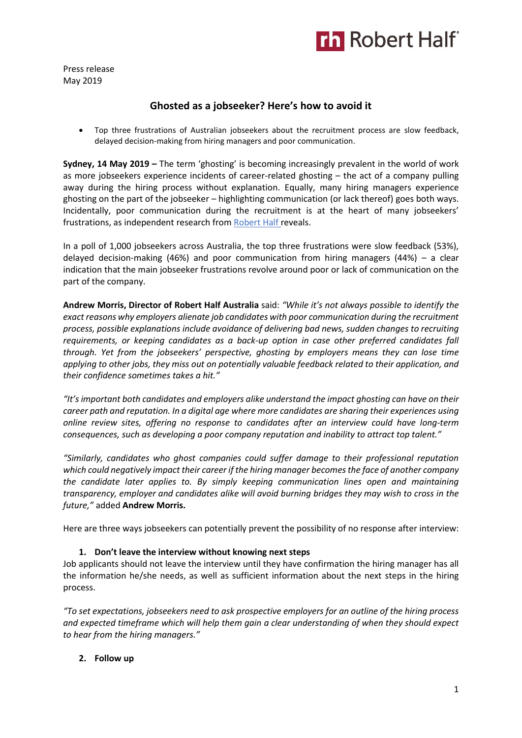

Press release May 2019

# **Ghosted as a jobseeker? Here's how to avoid it**

• Top three frustrations of Australian jobseekers about the recruitment process are slow feedback, delayed decision-making from hiring managers and poor communication.

**Sydney, 14 May 2019 –** The term 'ghosting' is becoming increasingly prevalent in the world of work as more jobseekers experience incidents of career-related ghosting – the act of a company pulling away during the hiring process without explanation. Equally, many hiring managers experience ghosting on the part of the jobseeker – highlighting communication (or lack thereof) goes both ways. Incidentally, poor communication during the recruitment is at the heart of many jobseekers' frustrations, as independent research fro[m Robert Half](https://www.roberthalf.com.au/?utm_source=roberthalf&utm_medium=pressrelease&utm_campaign=rh-all-nonspecific-ongoing) reveals.

In a poll of 1,000 jobseekers across Australia, the top three frustrations were slow feedback (53%), delayed decision-making (46%) and poor communication from hiring managers (44%) – a clear indication that the main jobseeker frustrations revolve around poor or lack of communication on the part of the company.

**Andrew Morris, Director of Robert Half Australia** said: *"While it's not always possible to identify the exact reasons why employers alienate job candidates with poor communication during the recruitment process, possible explanations include avoidance of delivering bad news, sudden changes to recruiting requirements, or keeping candidates as a back-up option in case other preferred candidates fall through. Yet from the jobseekers' perspective, ghosting by employers means they can lose time applying to other jobs, they miss out on potentially valuable feedback related to their application, and their confidence sometimes takes a hit."*

*"It's important both candidates and employers alike understand the impact ghosting can have on their career path and reputation. In a digital age where more candidates are sharing their experiences using online review sites, offering no response to candidates after an interview could have long-term consequences, such as developing a poor company reputation and inability to attract top talent."* 

*"Similarly, candidates who ghost companies could suffer damage to their professional reputation which could negatively impact their career if the hiring manager becomes the face of another company the candidate later applies to. By simply keeping communication lines open and maintaining transparency, employer and candidates alike will avoid burning bridges they may wish to cross in the future,"* added **Andrew Morris.**

Here are three ways jobseekers can potentially prevent the possibility of no response after interview:

# **1. Don't leave the interview without knowing next steps**

Job applicants should not leave the interview until they have confirmation the hiring manager has all the information he/she needs, as well as sufficient information about the next steps in the hiring process.

*"To set expectations, jobseekers need to ask prospective employers for an outline of the hiring process and expected timeframe which will help them gain a clear understanding of when they should expect to hear from the hiring managers."*

# **2. Follow up**